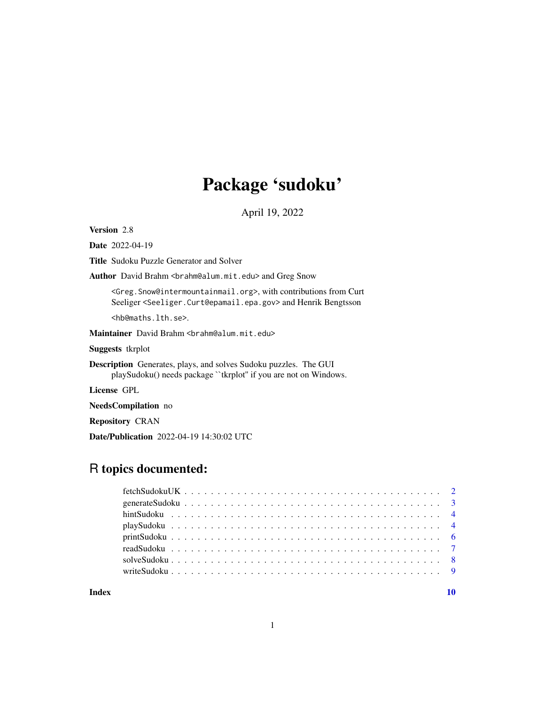## Package 'sudoku'

April 19, 2022

Version 2.8

Date 2022-04-19

Title Sudoku Puzzle Generator and Solver

Author David Brahm <br/>brahm@alum.mit.edu> and Greg Snow

<Greg.Snow@intermountainmail.org>, with contributions from Curt Seeliger <Seeliger.Curt@epamail.epa.gov> and Henrik Bengtsson

<hb@maths.lth.se>.

Maintainer David Brahm <br />brahm@alum.mit.edu>

Suggests tkrplot

Description Generates, plays, and solves Sudoku puzzles. The GUI playSudoku() needs package ``tkrplot'' if you are not on Windows.

License GPL

NeedsCompilation no

Repository CRAN

Date/Publication 2022-04-19 14:30:02 UTC

## R topics documented:

 $\blacksquare$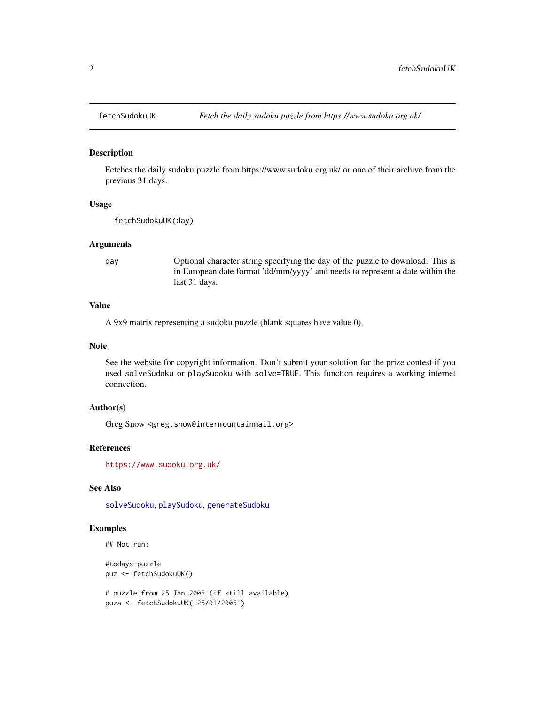<span id="page-1-0"></span>

Fetches the daily sudoku puzzle from https://www.sudoku.org.uk/ or one of their archive from the previous 31 days.

#### Usage

fetchSudokuUK(day)

#### Arguments

day Optional character string specifying the day of the puzzle to download. This is in European date format 'dd/mm/yyyy' and needs to represent a date within the last 31 days.

#### Value

A 9x9 matrix representing a sudoku puzzle (blank squares have value 0).

#### Note

See the website for copyright information. Don't submit your solution for the prize contest if you used solveSudoku or playSudoku with solve=TRUE. This function requires a working internet connection.

#### Author(s)

Greg Snow <greg.snow@intermountainmail.org>

#### References

<https://www.sudoku.org.uk/>

#### See Also

[solveSudoku](#page-7-1), [playSudoku](#page-3-1), [generateSudoku](#page-2-1)

## Examples

```
## Not run:
```
#todays puzzle puz <- fetchSudokuUK()

```
# puzzle from 25 Jan 2006 (if still available)
puza <- fetchSudokuUK('25/01/2006')
```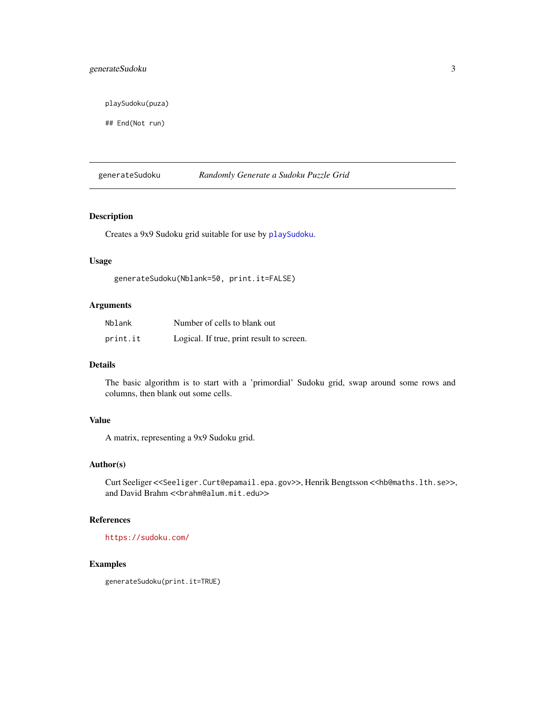## <span id="page-2-0"></span>generateSudoku 3

playSudoku(puza)

## End(Not run)

<span id="page-2-1"></span>generateSudoku *Randomly Generate a Sudoku Puzzle Grid*

## Description

Creates a 9x9 Sudoku grid suitable for use by [playSudoku](#page-3-1).

#### Usage

generateSudoku(Nblank=50, print.it=FALSE)

#### Arguments

| Nblank   | Number of cells to blank out              |
|----------|-------------------------------------------|
| print.it | Logical. If true, print result to screen. |

#### Details

The basic algorithm is to start with a 'primordial' Sudoku grid, swap around some rows and columns, then blank out some cells.

#### Value

A matrix, representing a 9x9 Sudoku grid.

## Author(s)

Curt Seeliger <<Seeliger.Curt@epamail.epa.gov>>, Henrik Bengtsson <<hb@maths.lth.se>>, and David Brahm << brahm@alum.mit.edu>>

#### References

<https://sudoku.com/>

## Examples

generateSudoku(print.it=TRUE)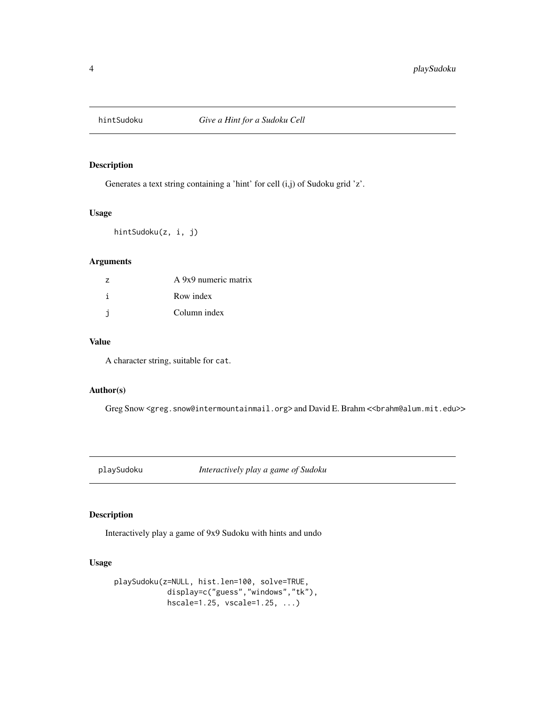<span id="page-3-0"></span>

Generates a text string containing a 'hint' for cell (i,j) of Sudoku grid 'z'.

#### Usage

hintSudoku(z, i, j)

## Arguments

| $\overline{z}$ | A 9x9 numeric matrix |
|----------------|----------------------|
|                | Row index            |
|                | Column index         |

## Value

A character string, suitable for cat.

#### Author(s)

Greg Snow <greg.snow@intermountainmail.org> and David E. Brahm <<br/>brahm@alum.mit.edu>>

<span id="page-3-1"></span>playSudoku *Interactively play a game of Sudoku*

## Description

Interactively play a game of 9x9 Sudoku with hints and undo

## Usage

```
playSudoku(z=NULL, hist.len=100, solve=TRUE,
           display=c("guess","windows","tk"),
            hscale=1.25, vscale=1.25, ...)
```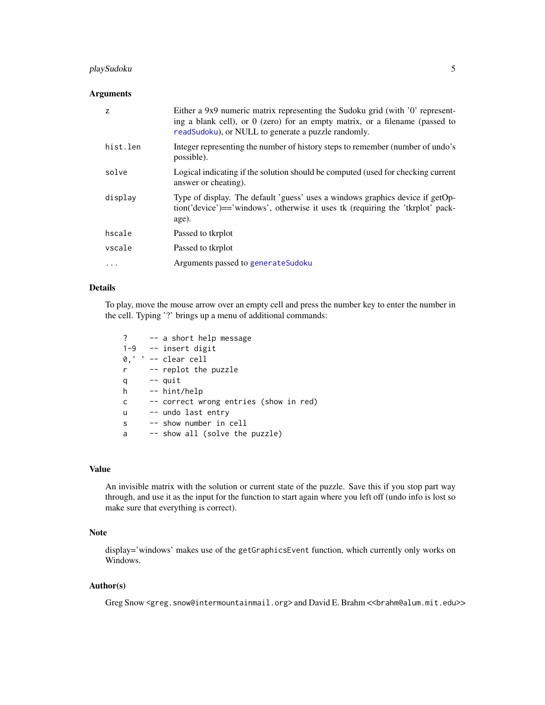## <span id="page-4-0"></span>playSudoku 5

### Arguments

| $\overline{z}$ | Either a 9x9 numeric matrix representing the Sudoku grid (with '0' represent-<br>ing a blank cell), or 0 (zero) for an empty matrix, or a filename (passed to<br>readSudoku), or NULL to generate a puzzle randomly. |
|----------------|----------------------------------------------------------------------------------------------------------------------------------------------------------------------------------------------------------------------|
| hist.len       | Integer representing the number of history steps to remember (number of undo's<br>possible).                                                                                                                         |
| solve          | Logical indicating if the solution should be computed (used for checking current<br>answer or cheating).                                                                                                             |
| display        | Type of display. The default 'guess' uses a windows graphics device if getOp-<br>tion('device')=='windows', otherwise it uses tk (requiring the 'tkrplot' pack-<br>age).                                             |
| hscale         | Passed to tkrplot                                                                                                                                                                                                    |
| vscale         | Passed to tkrplot                                                                                                                                                                                                    |
| $\cdots$       | Arguments passed to generate Sudoku                                                                                                                                                                                  |

## Details

To play, move the mouse arrow over an empty cell and press the number key to enter the number in the cell. Typing '?' brings up a menu of additional commands:

? -- a short help message 1-9 -- insert digit 0,' ' -- clear cell r -- replot the puzzle q -- quit h -- hint/help c -- correct wrong entries (show in red) u -- undo last entry s -- show number in cell a -- show all (solve the puzzle)

#### Value

An invisible matrix with the solution or current state of the puzzle. Save this if you stop part way through, and use it as the input for the function to start again where you left off (undo info is lost so make sure that everything is correct).

## Note

display='windows' makes use of the getGraphicsEvent function, which currently only works on Windows.

#### Author(s)

Greg Snow <greg.snow@intermountainmail.org> and David E. Brahm <<br/>brahm@alum.mit.edu>>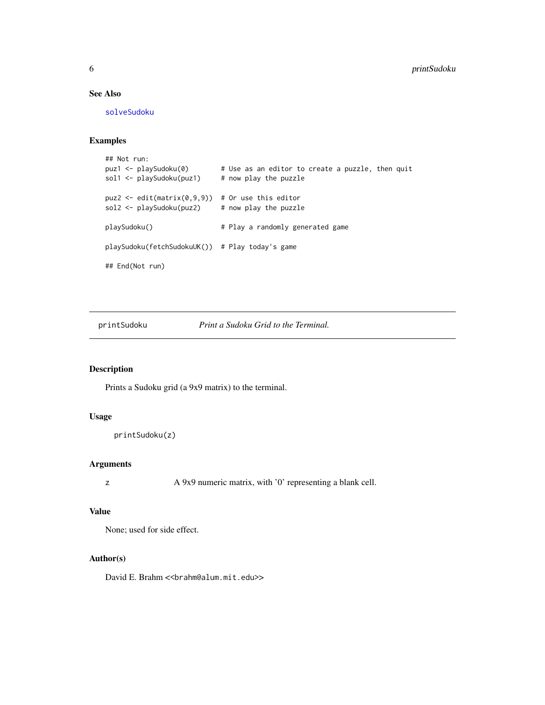## See Also

[solveSudoku](#page-7-1)

#### Examples

```
## Not run:
puz1 <- playSudoku(0) # Use as an editor to create a puzzle, then quit
sol1 \le playSudoku(puz1) # now play the puzzle
puz2 <- edit(matrix(0,9,9)) # Or use this editor
sol2 <- playSudoku(puz2) # now play the puzzle
playSudoku() \qquad # Play a randomly generated game
playSudoku(fetchSudokuUK()) # Play today's game
## End(Not run)
```
printSudoku *Print a Sudoku Grid to the Terminal.*

### Description

Prints a Sudoku grid (a 9x9 matrix) to the terminal.

## Usage

```
printSudoku(z)
```
#### Arguments

z A 9x9 numeric matrix, with '0' representing a blank cell.

#### Value

None; used for side effect.

#### Author(s)

David E. Brahm << brahm@alum.mit.edu>>

<span id="page-5-0"></span>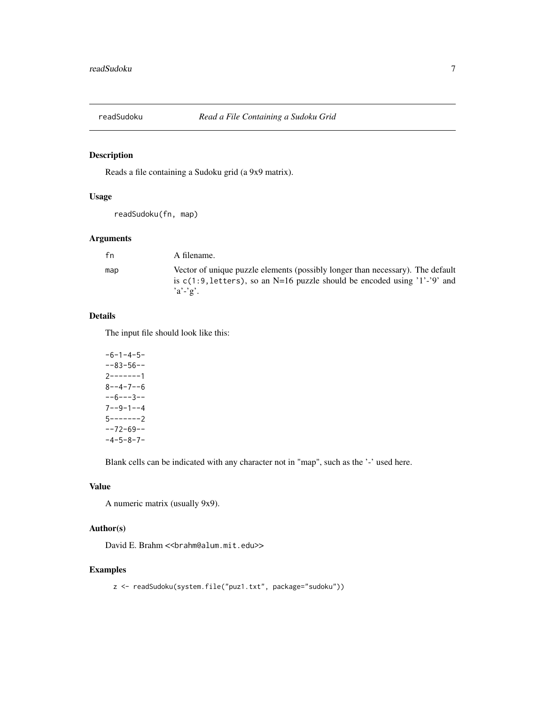<span id="page-6-1"></span><span id="page-6-0"></span>

Reads a file containing a Sudoku grid (a 9x9 matrix).

#### Usage

readSudoku(fn, map)

## Arguments

| fn  | A filename.                                                                                                                                                                |
|-----|----------------------------------------------------------------------------------------------------------------------------------------------------------------------------|
| map | Vector of unique puzzle elements (possibly longer than necessary). The default<br>is $c(1:9, letters)$ , so an N=16 puzzle should be encoded using '1'-'9' and<br>$a'-2$ . |

#### Details

The input file should look like this:

 $-6-1-4-5-$ --83-56-- 2-------1  $8 - -4 - 7 - -6$ --6---3-- 7--9-1--4 5-------2 --72-69--  $-4-5-8-7-$ 

Blank cells can be indicated with any character not in "map", such as the '-' used here.

#### Value

A numeric matrix (usually 9x9).

## Author(s)

David E. Brahm << brahm@alum.mit.edu>>

#### Examples

z <- readSudoku(system.file("puz1.txt", package="sudoku"))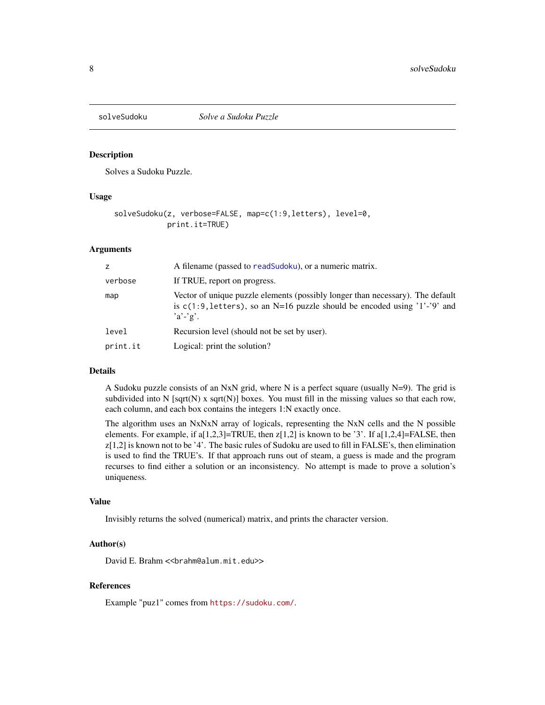<span id="page-7-1"></span><span id="page-7-0"></span>

Solves a Sudoku Puzzle.

#### Usage

```
solveSudoku(z, verbose=FALSE, map=c(1:9,letters), level=0,
            print.it=TRUE)
```
#### Arguments

| z        | A filename (passed to readSudoku), or a numeric matrix.                                                                                                                     |
|----------|-----------------------------------------------------------------------------------------------------------------------------------------------------------------------------|
| verbose  | If TRUE, report on progress.                                                                                                                                                |
| map      | Vector of unique puzzle elements (possibly longer than necessary). The default<br>is $c(1:9, letters)$ , so an N=16 puzzle should be encoded using '1'-'9' and<br>$a'-g'$ . |
| level    | Recursion level (should not be set by user).                                                                                                                                |
| print.it | Logical: print the solution?                                                                                                                                                |

#### Details

A Sudoku puzzle consists of an NxN grid, where N is a perfect square (usually  $N=9$ ). The grid is subdivided into N [sqrt(N) x sqrt(N)] boxes. You must fill in the missing values so that each row, each column, and each box contains the integers 1:N exactly once.

The algorithm uses an NxNxN array of logicals, representing the NxN cells and the N possible elements. For example, if  $a[1,2,3]=TRUE$ , then  $z[1,2]$  is known to be '3'. If  $a[1,2,4]=FALSE$ , then z[1,2] is known not to be '4'. The basic rules of Sudoku are used to fill in FALSE's, then elimination is used to find the TRUE's. If that approach runs out of steam, a guess is made and the program recurses to find either a solution or an inconsistency. No attempt is made to prove a solution's uniqueness.

#### Value

Invisibly returns the solved (numerical) matrix, and prints the character version.

#### Author(s)

David E. Brahm << brahm@alum.mit.edu>>

#### References

Example "puz1" comes from <https://sudoku.com/>.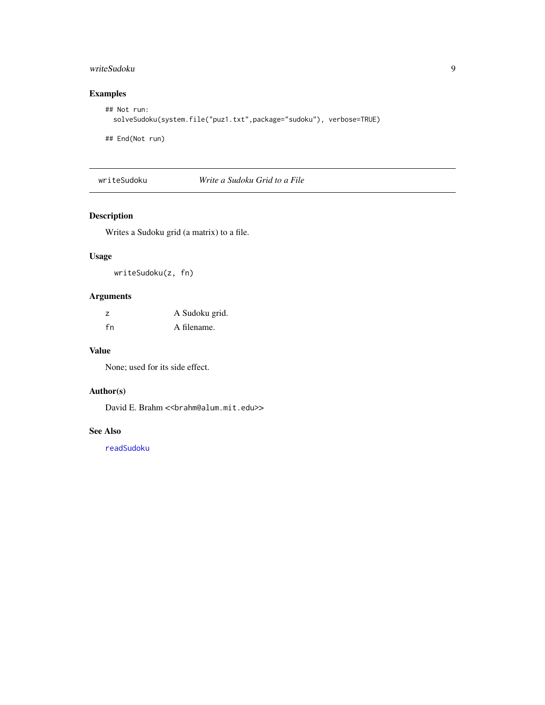## <span id="page-8-0"></span>writeSudoku 9

## Examples

```
## Not run:
  solveSudoku(system.file("puz1.txt",package="sudoku"), verbose=TRUE)
```
## End(Not run)

writeSudoku *Write a Sudoku Grid to a File*

## Description

Writes a Sudoku grid (a matrix) to a file.

## Usage

writeSudoku(z, fn)

## Arguments

| z  | A Sudoku grid. |
|----|----------------|
| fn | A filename.    |

#### Value

None; used for its side effect.

## Author(s)

David E. Brahm << brahm@alum.mit.edu>>

## See Also

[readSudoku](#page-6-1)